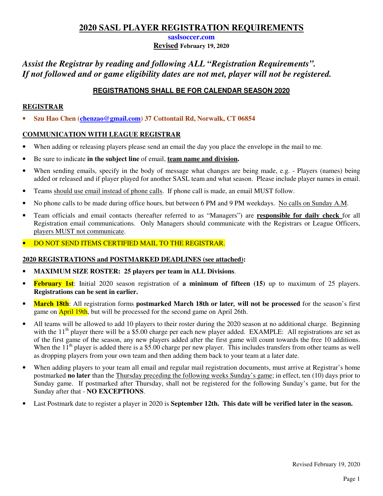**saslsoccer.com**

**Revised February 19, 2020** 

# *Assist the Registrar by reading and following ALL "Registration Requirements". If not followed and or game eligibility dates are not met, player will not be registered.*

# **REGISTRATIONS SHALL BE FOR CALENDAR SEASON 2020**

## **REGISTRAR**

• **Szu Hao Chen (chenzao@gmail.com) 37 Cottontail Rd, Norwalk, CT 06854**

## **COMMUNICATION WITH LEAGUE REGISTRAR**

- When adding or releasing players please send an email the day you place the envelope in the mail to me.
- Be sure to indicate **in the subject line** of email, **team name and division.**
- When sending emails, specify in the body of message what changes are being made, e.g. Players (names) being added or released and if player played for another SASL team and what season. Please include player names in email.
- Teams should use email instead of phone calls. If phone call is made, an email MUST follow.
- No phone calls to be made during office hours, but between 6 PM and 9 PM weekdays. No calls on Sunday A.M.
- Team officials and email contacts (hereafter referred to as "Managers") are **responsible for daily check** for all Registration email communications. Only Managers should communicate with the Registrars or League Officers, players MUST not communicate.
- DO NOT SEND ITEMS CERTIFIED MAIL TO THE REGISTRAR.

### **2020 REGISTRATIONS and POSTMARKED DEADLINES (see attached):**

- **MAXIMUM SIZE ROSTER: 25 players per team in ALL Divisions**.
- **February 1st**: Initial 2020 season registration of **a minimum of fifteen (15)** up to maximum of 25 players. **Registrations can be sent in earlier.**
- **March 18th**: All registration forms **postmarked March 18th or later***,* **will not be processed** for the season's first game on **April 19th**, but will be processed for the second game on April 26th.
- All teams will be allowed to add 10 players to their roster during the 2020 season at no additional charge. Beginning with the  $11<sup>th</sup>$  player there will be a \$5.00 charge per each new player added. EXAMPLE: All registrations are set as of the first game of the season, any new players added after the first game will count towards the free 10 additions. When the  $11^{th}$  player is added there is a \$5.00 charge per new player. This includes transfers from other teams as well as dropping players from your own team and then adding them back to your team at a later date.
- When adding players to your team all email and regular mail registration documents, must arrive at Registrar's home postmarked **no later** than the Thursday preceding the following weeks Sunday's game; in effect, ten (10) days prior to Sunday game. If postmarked after Thursday, shall not be registered for the following Sunday's game, but for the Sunday after that - **NO EXCEPTIONS**.
- Last Postmark date to register a player in 2020 is **September 12th. This date will be verified later in the season.**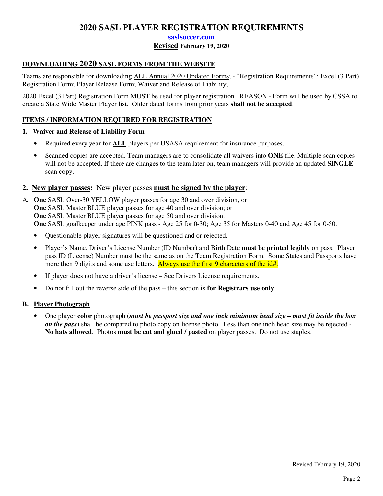**saslsoccer.com**

### **Revised February 19, 2020**

# **DOWNLOADING 2020 SASL FORMS FROM THE WEBSITE**

Teams are responsible for downloading ALL Annual 2020 Updated Forms; - "Registration Requirements"; Excel (3 Part) Registration Form; Player Release Form; Waiver and Release of Liability;

2020 Excel (3 Part) Registration Form MUST be used for player registration. REASON - Form will be used by CSSA to create a State Wide Master Player list. Older dated forms from prior years **shall not be accepted**.

## **ITEMS / INFORMATION REQUIRED FOR REGISTRATION**

### **1. Waiver and Release of Liability Form**

- Required every year for **ALL** players per USASA requirement for insurance purposes.
- Scanned copies are accepted. Team managers are to consolidate all waivers into **ONE** file. Multiple scan copies will not be accepted. If there are changes to the team later on, team managers will provide an updated **SINGLE** scan copy.

## **2. New player passes:** New player passes **must be signed by the player**:

- A*.* **One** SASL Over-30 YELLOW player passes for age 30 and over division, or  **One** SASL Master BLUE player passes for age 40 and over division; or **One** SASL Master BLUE player passes for age 50 and over division.  **One** SASL goalkeeper under age PINK pass - Age 25 for 0-30; Age 35 for Masters 0-40 and Age 45 for 0-50.
	- Questionable player signatures will be questioned and or rejected.
	- Player's Name, Driver's License Number (ID Number) and Birth Date **must be printed legibly** on pass. Player pass ID (License) Number must be the same as on the Team Registration Form. Some States and Passports have more then 9 digits and some use letters. Always use the first 9 characters of the id#.
	- If player does not have a driver's license See Drivers License requirements.
	- Do not fill out the reverse side of the pass this section is **for Registrars use only**.

### **B. Player Photograph**

• One player **color** photograph (*must be passport size and one inch minimum head size – must fit inside the box on the pass***)** shall be compared to photo copy on license photo. Less than one inch head size may be rejected - **No hats allowed**. Photos **must be cut and glued / pasted** on player passes. Do not use staples.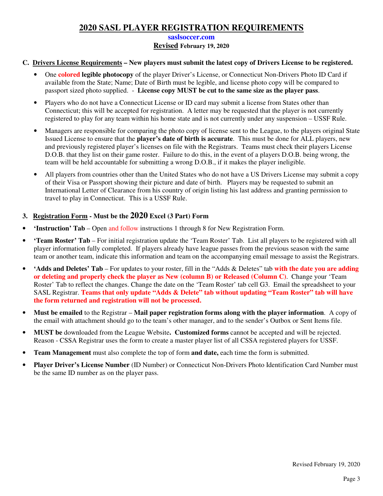#### **saslsoccer.com**

#### **Revised February 19, 2020**

#### **C. Drivers License Requirements – New players must submit the latest copy of Drivers License to be registered.**

- One **colored legible photocopy** of the player Driver's License, or Connecticut Non-Drivers Photo ID Card if available from the State; Name; Date of Birth must be legible, and license photo copy will be compared to passport sized photo supplied. - **License copy MUST be cut to the same size as the player pass**.
- Players who do not have a Connecticut License or ID card may submit a license from States other than Connecticut; this will be accepted for registration. A letter may be requested that the player is not currently registered to play for any team within his home state and is not currently under any suspension – USSF Rule.
- Managers are responsible for comparing the photo copy of license sent to the League, to the players original State Issued License to ensure that the **player's date of birth is accurate**. This must be done for ALL players, new and previously registered player's licenses on file with the Registrars. Teams must check their players License D.O.B. that they list on their game roster. Failure to do this, in the event of a players D.O.B. being wrong, the team will be held accountable for submitting a wrong D.O.B., if it makes the player ineligible.
- All players from countries other than the United States who do not have a US Drivers License may submit a copy of their Visa or Passport showing their picture and date of birth. Players may be requested to submit an International Letter of Clearance from his country of origin listing his last address and granting permission to travel to play in Connecticut. This is a USSF Rule.

### **3. Registration Form - Must be the 2020 Excel (3 Part) Form**

- **'Instruction' Tab** Open and follow instructions 1 through 8 for New Registration Form.
- **'Team Roster' Tab** For initial registration update the 'Team Roster' Tab. List all players to be registered with all player information fully completed. If players already have league passes from the previous season with the same team or another team, indicate this information and team on the accompanying email message to assist the Registrars.
- **'Adds and Deletes' Tab** For updates to your roster, fill in the "Adds & Deletes" tab **with the date you are adding or deleting and properly check the player as New (column B) or Released (Column C)**. Change your 'Team Roster' Tab to reflect the changes. Change the date on the 'Team Roster' tab cell G3. Email the spreadsheet to your SASL Registrar. **Teams that only update "Adds & Delete" tab without updating "Team Roster" tab will have the form returned and registration will not be processed.**
- **Must be emailed** to the Registrar **Mail paper registration forms along with the player information**.A copy of the email with attachment should go to the team's other manager, and to the sender's Outbox or Sent Items file.
- **MUST be** downloaded from the League Website**. Customized forms** cannot be accepted and will be rejected. Reason - CSSA Registrar uses the form to create a master player list of all CSSA registered players for USSF.
- **Team Management** must also complete the top of form **and date,** each time the form is submitted.
- **Player Driver's License Number** (ID Number) or Connecticut Non-Drivers Photo Identification Card Number must be the same ID number as on the player pass.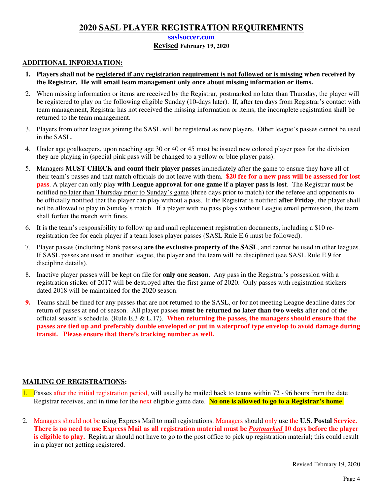#### **saslsoccer.com**

#### **Revised February 19, 2020**

#### **ADDITIONAL INFORMATION:**

- **1. Players shall not be registered if any registration requirement is not followed or is missing when received by the Registrar. He will email team management only once about missing information or items.**
- 2. When missing information or items are received by the Registrar, postmarked no later than Thursday, the player will be registered to play on the following eligible Sunday (10-days later). If, after ten days from Registrar's contact with team management, Registrar has not received the missing information or items, the incomplete registration shall be returned to the team management.
- 3. Players from other leagues joining the SASL will be registered as new players. Other league's passes cannot be used in the SASL.
- 4. Under age goalkeepers, upon reaching age 30 or 40 or 45 must be issued new colored player pass for the division they are playing in (special pink pass will be changed to a yellow or blue player pass).
- 5. Managers **MUST CHECK and count their player passes** immediately after the game to ensure they have all of their team's passes and that match officials do not leave with them. **\$20 fee for a new pass will be assessed for lost pass**. A player can only play **with League approval for one game if a player pass is lost**. The Registrar must be notified no later than Thursday prior to Sunday's game (three days prior to match) for the referee and opponents to be officially notified that the player can play without a pass. If the Registrar is notified **after Friday**, the player shall not be allowed to play in Sunday's match. If a player with no pass plays without League email permission, the team shall forfeit the match with fines.
- 6. It is the team's responsibility to follow up and mail replacement registration documents, including a \$10 reregistration fee for each player if a team loses player passes (SASL Rule E.6 must be followed).
- 7. Player passes (including blank passes) **are the exclusive property of the SASL**, and cannot be used in other leagues. If SASL passes are used in another league, the player and the team will be disciplined (see SASL Rule E.9 for discipline details).
- 8. Inactive player passes will be kept on file for **only one season**. Any pass in the Registrar's possession with a registration sticker of 2017 will be destroyed after the first game of 2020. Only passes with registration stickers dated 2018 will be maintained for the 2020 season.
- **9.** Teams shall be fined for any passes that are not returned to the SASL, or for not meeting League deadline dates for return of passes at end of season. All player passes **must be returned no later than two weeks** after end of the official season's schedule. (Rule E.3 & L.17). **When returning the passes, the managers should ensure that the passes are tied up and preferably double enveloped or put in waterproof type envelop to avoid damage during transit. Please ensure that there's tracking number as well.**

### **MAILING OF REGISTRATIONS:**

- 1. Passes after the initial registration period, will usually be mailed back to teams within 72 96 hours from the date Registrar receives, and in time for the next eligible game date. **No one is allowed to go to a Registrar's home**.
- 2. Managers should not be using Express Mail to mail registrations. Managers should only use the **U.S. Postal Service. There is no need to use Express Mail as all registration material must be** *Postmarked* **10 days before the player is eligible to play.** Registrar should not have to go to the post office to pick up registration material; this could result in a player not getting registered.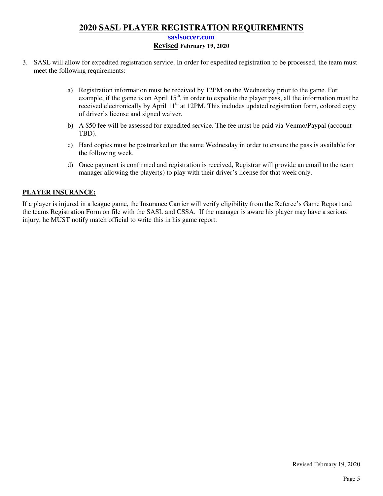#### **saslsoccer.com**

#### **Revised February 19, 2020**

- 3. SASL will allow for expedited registration service. In order for expedited registration to be processed, the team must meet the following requirements:
	- a) Registration information must be received by 12PM on the Wednesday prior to the game. For example, if the game is on April 15<sup>th</sup>, in order to expedite the player pass, all the information must be received electronically by April 11<sup>th</sup> at 12PM. This includes updated registration form, colored copy of driver's license and signed waiver.
	- b) A \$50 fee will be assessed for expedited service. The fee must be paid via Venmo/Paypal (account TBD).
	- c) Hard copies must be postmarked on the same Wednesday in order to ensure the pass is available for the following week.
	- d) Once payment is confirmed and registration is received, Registrar will provide an email to the team manager allowing the player(s) to play with their driver's license for that week only.

#### **PLAYER INSURANCE:**

If a player is injured in a league game, the Insurance Carrier will verify eligibility from the Referee's Game Report and the teams Registration Form on file with the SASL and CSSA. If the manager is aware his player may have a serious injury, he MUST notify match official to write this in his game report.